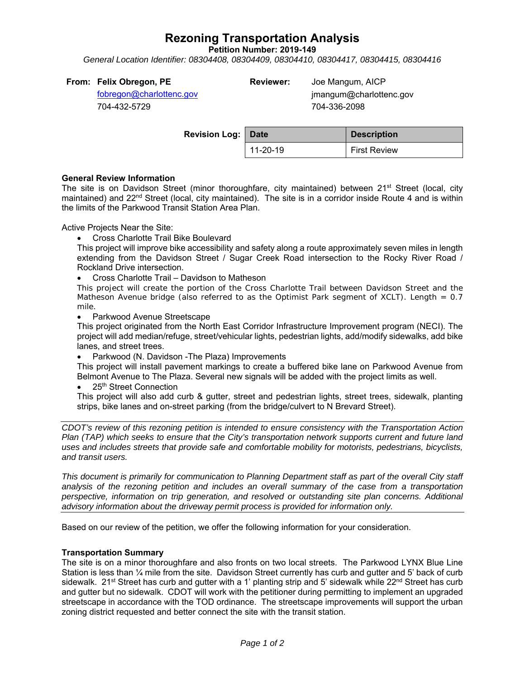# **Rezoning Transportation Analysis**

**Petition Number: 2019-149** 

*General Location Identifier: 08304408, 08304409, 08304410, 08304417, 08304415, 08304416* 

| From: Felix Obregon, PE                       | <b>Reviewer:</b> | Joe Mangum, / |
|-----------------------------------------------|------------------|---------------|
| $fahronon\oslash ahorlathono\oslash\oslash b$ |                  | imanaumabca   |

fobregon@charlottenc.gov 704-432-5729

**RICP**  jmangum@charlottenc.gov 704-336-2098

| <b>Revision Log:   Date</b> |          | <b>Description</b>  |
|-----------------------------|----------|---------------------|
|                             | 11-20-19 | <b>First Review</b> |

#### **General Review Information**

The site is on Davidson Street (minor thoroughfare, city maintained) between  $21<sup>st</sup>$  Street (local, city maintained) and 22<sup>nd</sup> Street (local, city maintained). The site is in a corridor inside Route 4 and is within the limits of the Parkwood Transit Station Area Plan.

Active Projects Near the Site:

Cross Charlotte Trail Bike Boulevard

This project will improve bike accessibility and safety along a route approximately seven miles in length extending from the Davidson Street / Sugar Creek Road intersection to the Rocky River Road / Rockland Drive intersection.

Cross Charlotte Trail – Davidson to Matheson

This project will create the portion of the Cross Charlotte Trail between Davidson Street and the Matheson Avenue bridge (also referred to as the Optimist Park segment of XCLT). Length = 0.7 mile.

Parkwood Avenue Streetscape

This project originated from the North East Corridor Infrastructure Improvement program (NECI). The project will add median/refuge, street/vehicular lights, pedestrian lights, add/modify sidewalks, add bike lanes, and street trees.

Parkwood (N. Davidson -The Plaza) Improvements

This project will install pavement markings to create a buffered bike lane on Parkwood Avenue from Belmont Avenue to The Plaza. Several new signals will be added with the project limits as well.

• 25<sup>th</sup> Street Connection

This project will also add curb & gutter, street and pedestrian lights, street trees, sidewalk, planting strips, bike lanes and on-street parking (from the bridge/culvert to N Brevard Street).

*CDOT's review of this rezoning petition is intended to ensure consistency with the Transportation Action Plan (TAP) which seeks to ensure that the City's transportation network supports current and future land uses and includes streets that provide safe and comfortable mobility for motorists, pedestrians, bicyclists, and transit users.* 

*This document is primarily for communication to Planning Department staff as part of the overall City staff analysis of the rezoning petition and includes an overall summary of the case from a transportation perspective, information on trip generation, and resolved or outstanding site plan concerns. Additional advisory information about the driveway permit process is provided for information only.* 

Based on our review of the petition, we offer the following information for your consideration.

## **Transportation Summary**

The site is on a minor thoroughfare and also fronts on two local streets. The Parkwood LYNX Blue Line Station is less than 1/4 mile from the site. Davidson Street currently has curb and qutter and 5' back of curb sidewalk. 21<sup>st</sup> Street has curb and gutter with a 1' planting strip and 5' sidewalk while 22<sup>nd</sup> Street has curb and gutter but no sidewalk. CDOT will work with the petitioner during permitting to implement an upgraded streetscape in accordance with the TOD ordinance. The streetscape improvements will support the urban zoning district requested and better connect the site with the transit station.